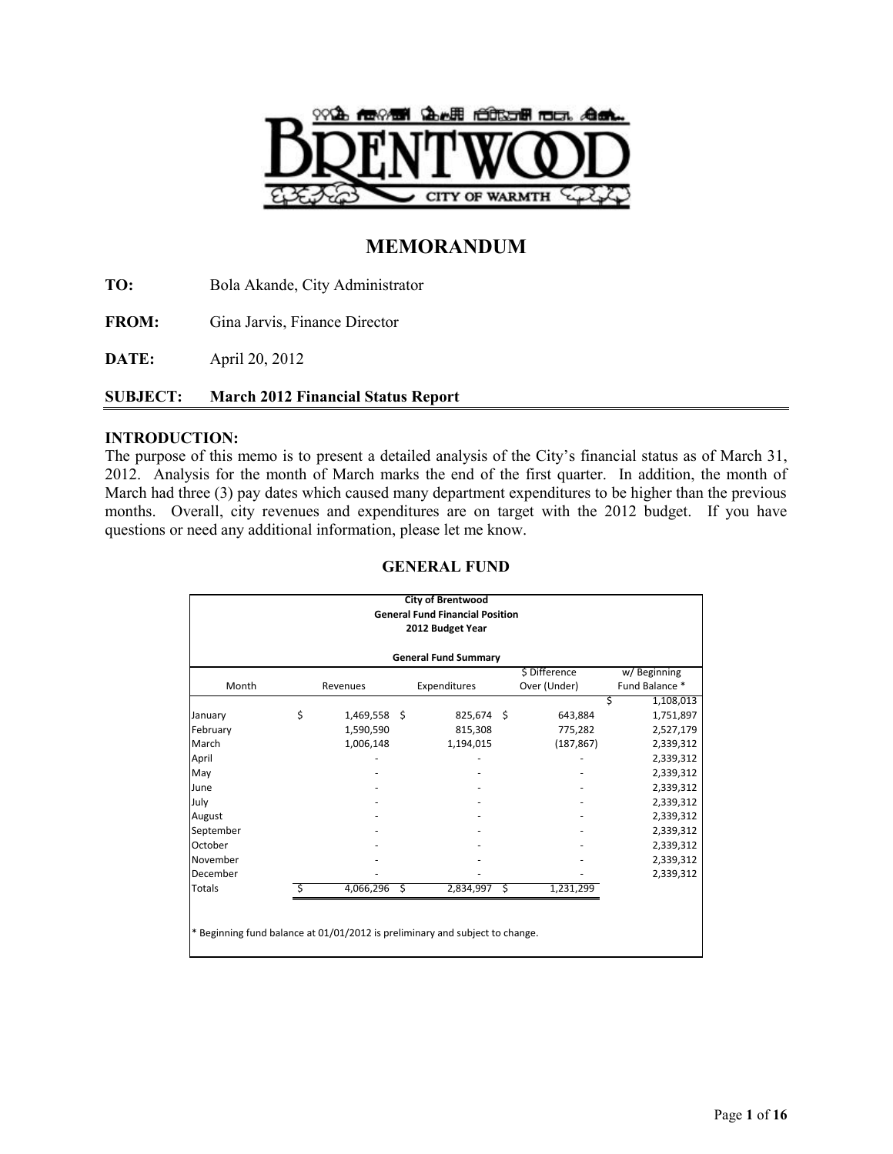

# **MEMORANDUM**

**TO:** Bola Akande, City Administrator

FROM: Gina Jarvis, Finance Director

**DATE:** April 20, 2012

## **SUBJECT: March 2012 Financial Status Report**

### **INTRODUCTION:**

The purpose of this memo is to present a detailed analysis of the City's financial status as of March 31, 2012. Analysis for the month of March marks the end of the first quarter. In addition, the month of March had three (3) pay dates which caused many department expenditures to be higher than the previous months. Overall, city revenues and expenditures are on target with the 2012 budget. If you have questions or need any additional information, please let me know.

| <b>City of Brentwood</b><br><b>General Fund Financial Position</b><br>2012 Budget Year |    |                |  |              |      |               |                |  |  |  |  |
|----------------------------------------------------------------------------------------|----|----------------|--|--------------|------|---------------|----------------|--|--|--|--|
| <b>General Fund Summary</b>                                                            |    |                |  |              |      |               |                |  |  |  |  |
|                                                                                        |    |                |  |              |      | \$ Difference | w/Beginning    |  |  |  |  |
| Month                                                                                  |    | Revenues       |  | Expenditures |      | Over (Under)  | Fund Balance * |  |  |  |  |
|                                                                                        |    |                |  |              |      |               | 1,108,013<br>S |  |  |  |  |
| January                                                                                | \$ | 1,469,558 \$   |  | $825,674$ \$ |      | 643,884       | 1,751,897      |  |  |  |  |
| February                                                                               |    | 1,590,590      |  | 815,308      |      | 775,282       | 2,527,179      |  |  |  |  |
| March                                                                                  |    | 1,006,148      |  | 1,194,015    |      | (187, 867)    | 2,339,312      |  |  |  |  |
| April                                                                                  |    |                |  |              |      |               | 2,339,312      |  |  |  |  |
| May                                                                                    |    |                |  |              |      |               | 2,339,312      |  |  |  |  |
| June                                                                                   |    |                |  |              |      |               | 2,339,312      |  |  |  |  |
| July                                                                                   |    |                |  |              |      |               | 2,339,312      |  |  |  |  |
| August                                                                                 |    |                |  |              |      |               | 2,339,312      |  |  |  |  |
| September                                                                              |    |                |  |              |      |               | 2,339,312      |  |  |  |  |
| October                                                                                |    |                |  |              |      |               | 2,339,312      |  |  |  |  |
| November                                                                               |    |                |  |              |      |               | 2,339,312      |  |  |  |  |
| December                                                                               |    |                |  |              |      |               | 2,339,312      |  |  |  |  |
| Totals                                                                                 |    | $4,066,296$ \$ |  | 2,834,997    | - \$ | 1,231,299     |                |  |  |  |  |

### **GENERAL FUND**

Beginning fund balance at 01/01/2012 is preliminary and subject to change.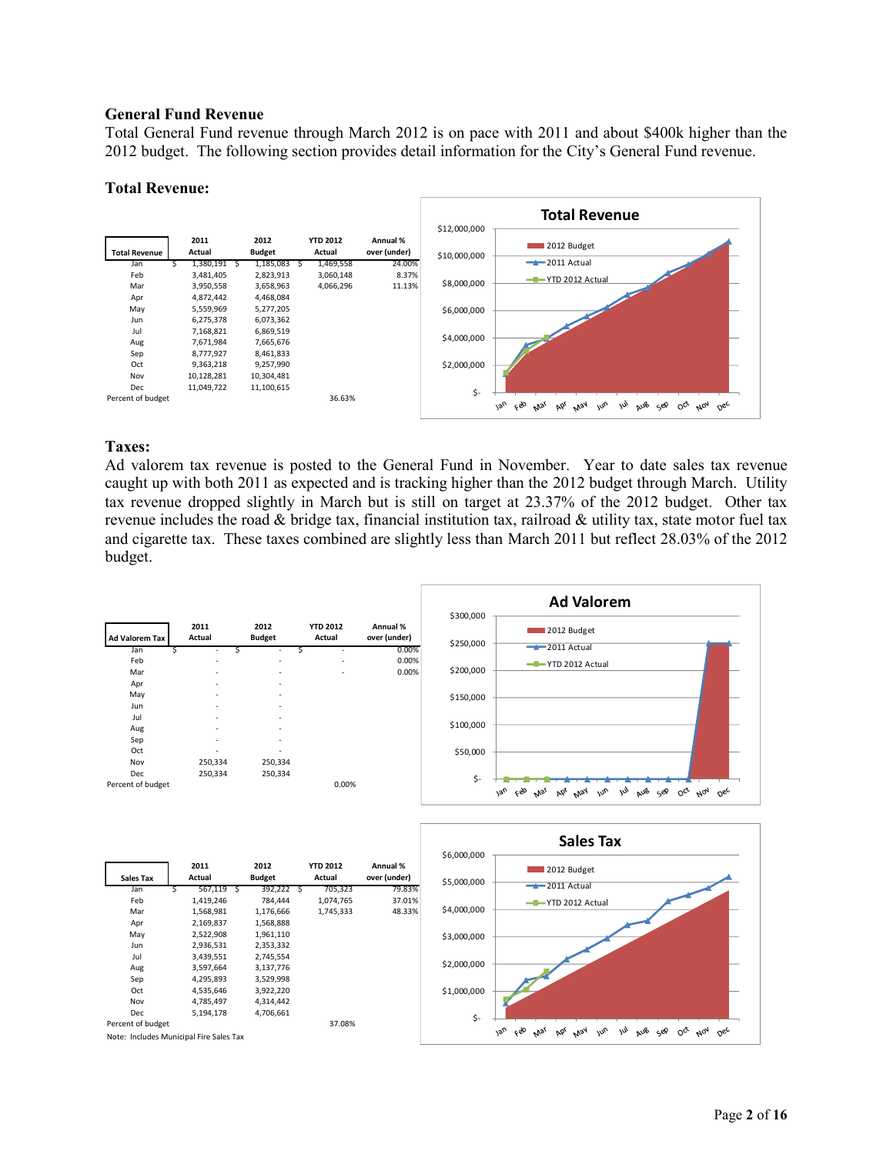#### **General Fund Revenue**

Total General Fund revenue through March 2012 is on pace with 2011 and about \$400k higher than the 2012 budget. The following section provides detail information for the City's General Fund revenue.

#### **Total Revenue:**



### **Taxes:**

Ad valorem tax revenue is posted to the General Fund in November. Year to date sales tax revenue caught up with both 2011 as expected and is tracking higher than the 2012 budget through March. Utility tax revenue dropped slightly in March but is still on target at 23.37% of the 2012 budget. Other tax revenue includes the road & bridge tax, financial institution tax, railroad & utility tax, state motor fuel tax and cigarette tax. These taxes combined are slightly less than March 2011 but reflect 28.03% of the 2012 budget.

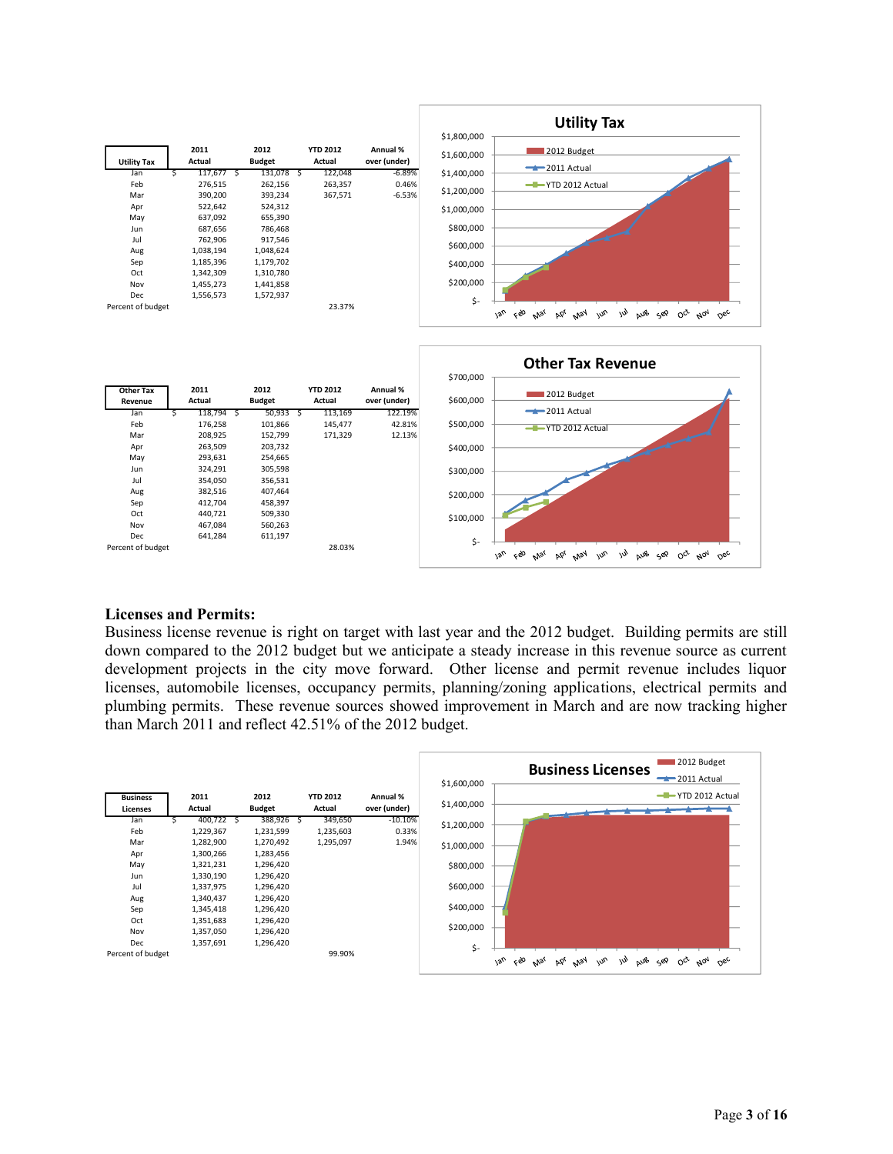

#### **Licenses and Permits:**

Percent of budget 28.03%

Business license revenue is right on target with last year and the 2012 budget. Building permits are still down compared to the 2012 budget but we anticipate a steady increase in this revenue source as current development projects in the city move forward. Other license and permit revenue includes liquor licenses, automobile licenses, occupancy permits, planning/zoning applications, electrical permits and plumbing permits. These revenue sources showed improvement in March and are now tracking higher than March 2011 and reflect 42.51% of the 2012 budget.

\$-

 $\sqrt{2}$ 

Feb Mar Apr May Jun

Jul Aus sep oct Nov Dec

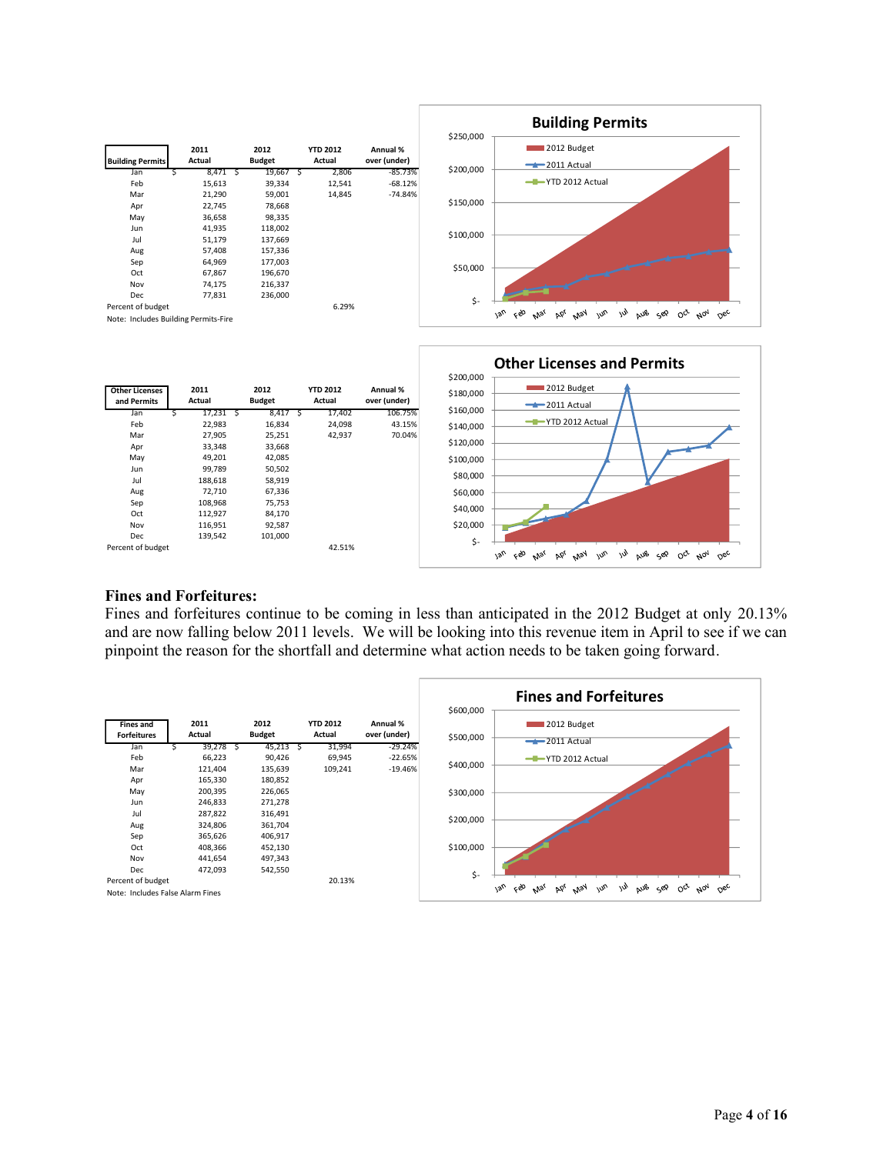

|  | <b>Fines and Forfeitures:</b> |
|--|-------------------------------|
|  |                               |

Oct 112,927 84,170 Nov 116,951 92,587<br>Dec 139.542 101.000 139,542 Percent of budget 42.51%

75,753

Fines and forfeitures continue to be coming in less than anticipated in the 2012 Budget at only 20.13% and are now falling below 2011 levels. We will be looking into this revenue item in April to see if we can pinpoint the reason for the shortfall and determine what action needs to be taken going forward.

 \$- \$20,000 \$40,000

 $\sqrt{2}n$ 

Feb Mar Apr May Jun

Jul Aus sep oct Not Dec

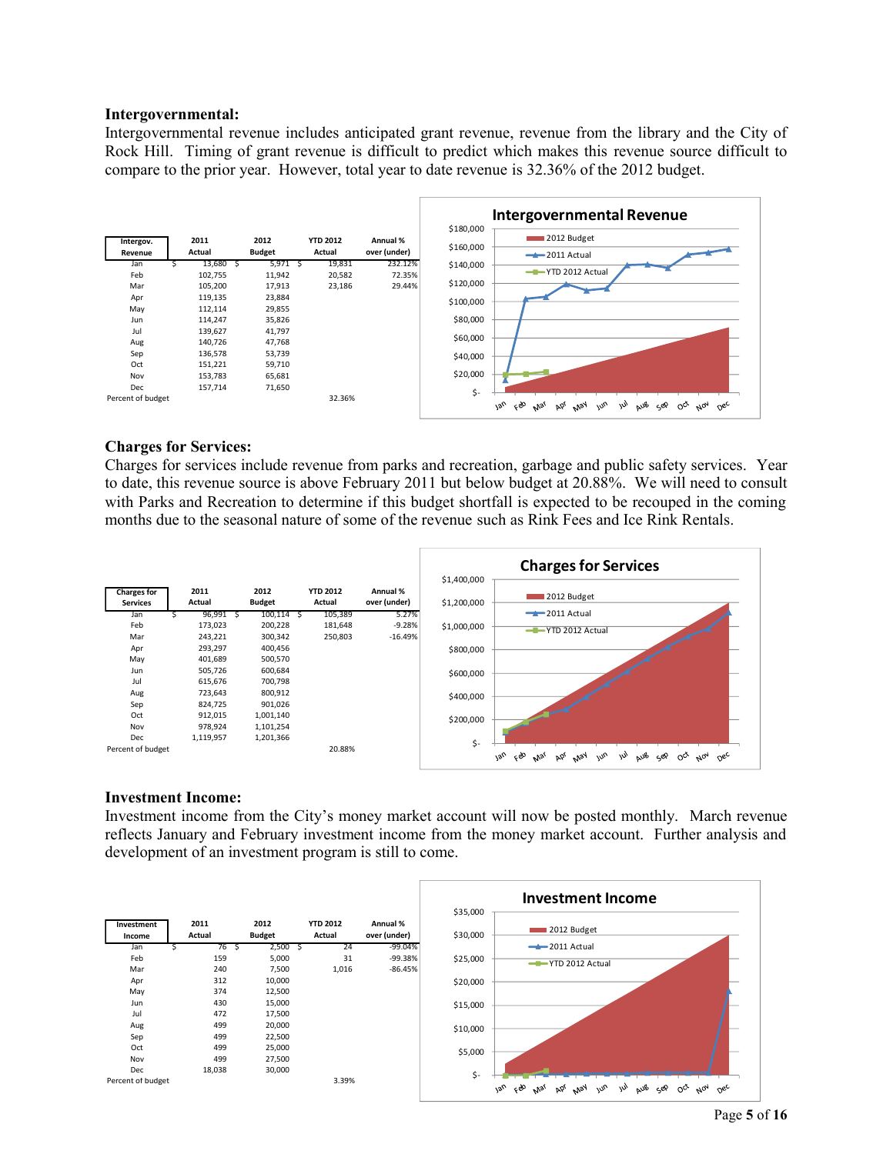#### **Intergovernmental:**

Intergovernmental revenue includes anticipated grant revenue, revenue from the library and the City of Rock Hill. Timing of grant revenue is difficult to predict which makes this revenue source difficult to compare to the prior year. However, total year to date revenue is 32.36% of the 2012 budget.



#### **Charges for Services:**

Charges for services include revenue from parks and recreation, garbage and public safety services. Year to date, this revenue source is above February 2011 but below budget at 20.88%. We will need to consult with Parks and Recreation to determine if this budget shortfall is expected to be recouped in the coming months due to the seasonal nature of some of the revenue such as Rink Fees and Ice Rink Rentals.



#### **Investment Income:**

Investment income from the City's money market account will now be posted monthly. March revenue reflects January and February investment income from the money market account. Further analysis and development of an investment program is still to come.

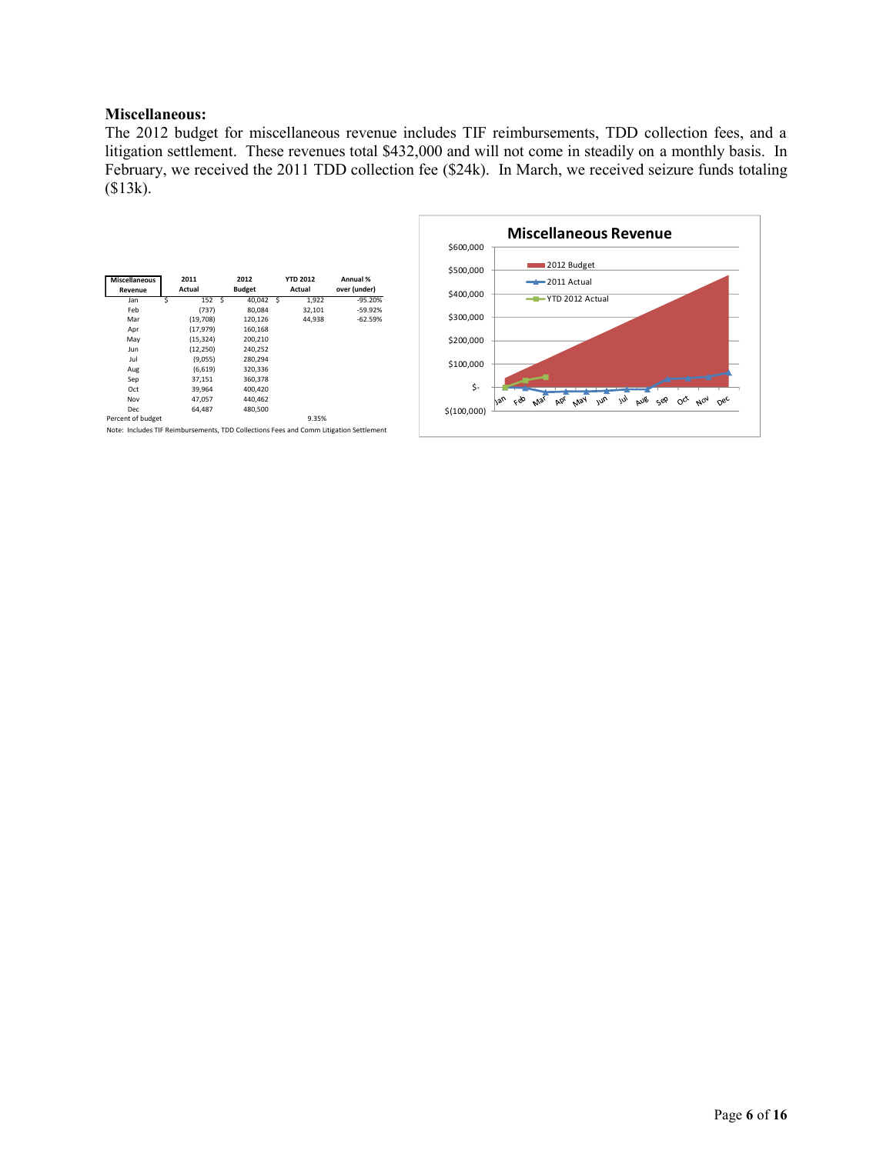### **Miscellaneous:**

The 2012 budget for miscellaneous revenue includes TIF reimbursements, TDD collection fees, and a litigation settlement. These revenues total \$432,000 and will not come in steadily on a monthly basis. In February, we received the 2011 TDD collection fee (\$24k). In March, we received seizure funds totaling (\$13k).

|                                 |                |                       |                           |                                                                                        | \$600,000   |
|---------------------------------|----------------|-----------------------|---------------------------|----------------------------------------------------------------------------------------|-------------|
| <b>Miscellaneous</b><br>Revenue | 2011<br>Actual | 2012<br><b>Budget</b> | <b>YTD 2012</b><br>Actual | Annual %<br>over (under)                                                               | \$500,000   |
| Jan                             | 152<br>.s      | 40,042                | 1,922<br>Ŝ                | $-95.20%$                                                                              | \$400,000   |
| Feb                             | (737)          | 80,084                | 32,101                    | $-59.92%$                                                                              |             |
| Mar                             | (19,708)       | 120,126               | 44,938                    | $-62.59%$                                                                              | \$300,000   |
| Apr                             | (17, 979)      | 160,168               |                           |                                                                                        |             |
| May                             | (15, 324)      | 200,210               |                           |                                                                                        | \$200,000   |
| Jun                             | (12, 250)      | 240,252               |                           |                                                                                        |             |
| Jul                             | (9,055)        | 280,294               |                           |                                                                                        | \$100,000   |
| Aug                             | (6, 619)       | 320,336               |                           |                                                                                        |             |
| Sep                             | 37,151         | 360,378               |                           |                                                                                        |             |
| Oct                             | 39,964         | 400,420               |                           |                                                                                        | \$-         |
| Nov                             | 47,057         | 440,462               |                           |                                                                                        |             |
| <b>Dec</b>                      | 64,487         | 480,500               |                           |                                                                                        | \$(100,000) |
| Percent of budget               |                |                       | 9.35%                     |                                                                                        |             |
|                                 |                |                       |                           | Note: Includes TIF Reimbursements, TDD Collections Fees and Comm Litigation Settlement |             |

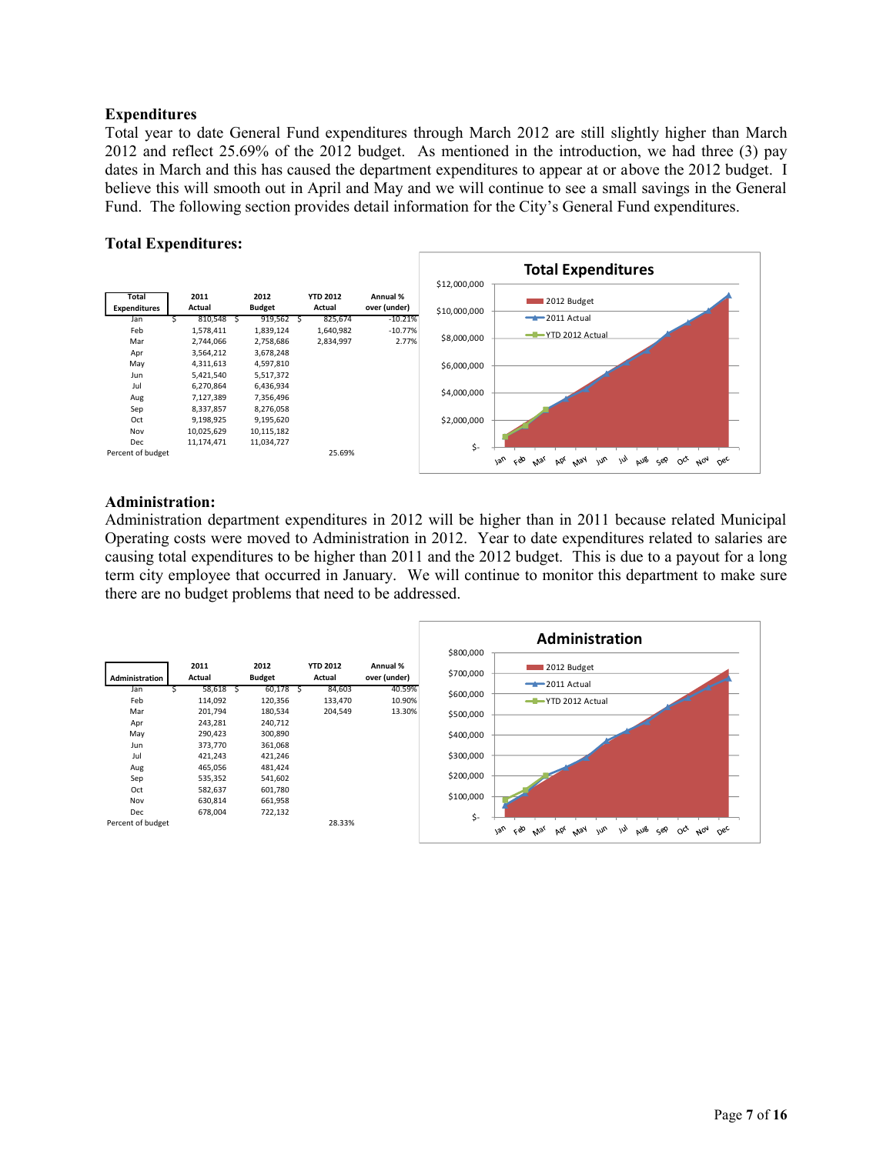### **Expenditures**

Total year to date General Fund expenditures through March 2012 are still slightly higher than March 2012 and reflect 25.69% of the 2012 budget. As mentioned in the introduction, we had three (3) pay dates in March and this has caused the department expenditures to appear at or above the 2012 budget. I believe this will smooth out in April and May and we will continue to see a small savings in the General Fund. The following section provides detail information for the City's General Fund expenditures.

### **Total Expenditures:**



#### **Administration:**

Administration department expenditures in 2012 will be higher than in 2011 because related Municipal Operating costs were moved to Administration in 2012. Year to date expenditures related to salaries are causing total expenditures to be higher than 2011 and the 2012 budget. This is due to a payout for a long term city employee that occurred in January. We will continue to monitor this department to make sure there are no budget problems that need to be addressed.

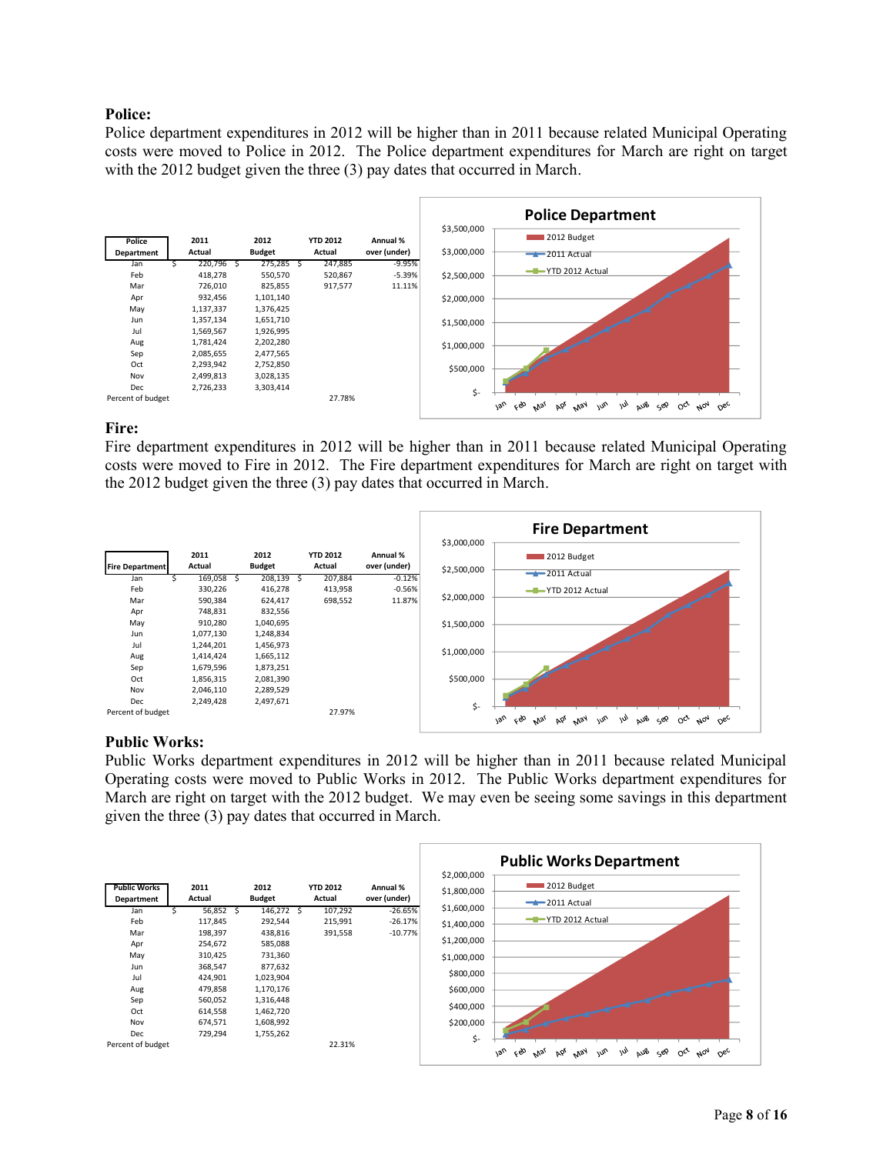### **Police:**

Police department expenditures in 2012 will be higher than in 2011 because related Municipal Operating costs were moved to Police in 2012. The Police department expenditures for March are right on target with the 2012 budget given the three (3) pay dates that occurred in March.



### **Fire:**

Fire department expenditures in 2012 will be higher than in 2011 because related Municipal Operating costs were moved to Fire in 2012. The Fire department expenditures for March are right on target with the 2012 budget given the three (3) pay dates that occurred in March.



#### **Public Works:**

Public Works department expenditures in 2012 will be higher than in 2011 because related Municipal Operating costs were moved to Public Works in 2012. The Public Works department expenditures for March are right on target with the 2012 budget. We may even be seeing some savings in this department given the three (3) pay dates that occurred in March.

|                     |         |               |                 |              |                            | <b>Public Works Department</b>                                                                                                            |
|---------------------|---------|---------------|-----------------|--------------|----------------------------|-------------------------------------------------------------------------------------------------------------------------------------------|
| <b>Public Works</b> | 2011    | 2012          | <b>YTD 2012</b> | Annual %     | \$2,000,000<br>\$1,800,000 | 2012 Budget                                                                                                                               |
| Department          | Actual  | <b>Budget</b> | Actual          | over (under) |                            | $-2011$ Actual                                                                                                                            |
| Jan                 | 56,852  | 146,272 \$    | 107,292         | $-26.65%$    | \$1,600,000                |                                                                                                                                           |
| Feb                 | 117,845 | 292,544       | 215,991         | $-26.17%$    | \$1,400,000                | -T-YTD 2012 Actual                                                                                                                        |
| Mar                 | 198,397 | 438,816       | 391,558         | $-10.77%$    |                            |                                                                                                                                           |
| Apr                 | 254,672 | 585,088       |                 |              | \$1,200,000                |                                                                                                                                           |
| May                 | 310,425 | 731,360       |                 |              | \$1,000,000                |                                                                                                                                           |
| Jun                 | 368,547 | 877,632       |                 |              | \$800,000                  |                                                                                                                                           |
| Jul                 | 424,901 | 1,023,904     |                 |              |                            |                                                                                                                                           |
| Aug                 | 479,858 | 1,170,176     |                 |              | \$600,000                  |                                                                                                                                           |
| Sep                 | 560,052 | 1,316,448     |                 |              |                            |                                                                                                                                           |
| Oct                 | 614,558 | 1,462,720     |                 |              | \$400,000                  |                                                                                                                                           |
| Nov                 | 674,571 | 1,608,992     |                 |              | \$200,000                  |                                                                                                                                           |
| Dec                 | 729,294 | 1,755,262     |                 |              | \$-                        |                                                                                                                                           |
| Percent of budget   |         |               | 22.31%          |              |                            | çeo<br>$v_{\alpha}$<br>AUB<br>w <sub>0</sub><br>$\mu$<br>$A_{07}$<br>جون<br>$O_{C}$<br><b>May</b><br>$\alpha_{\rm sc}$<br>Þó,<br>$v_{lg}$ |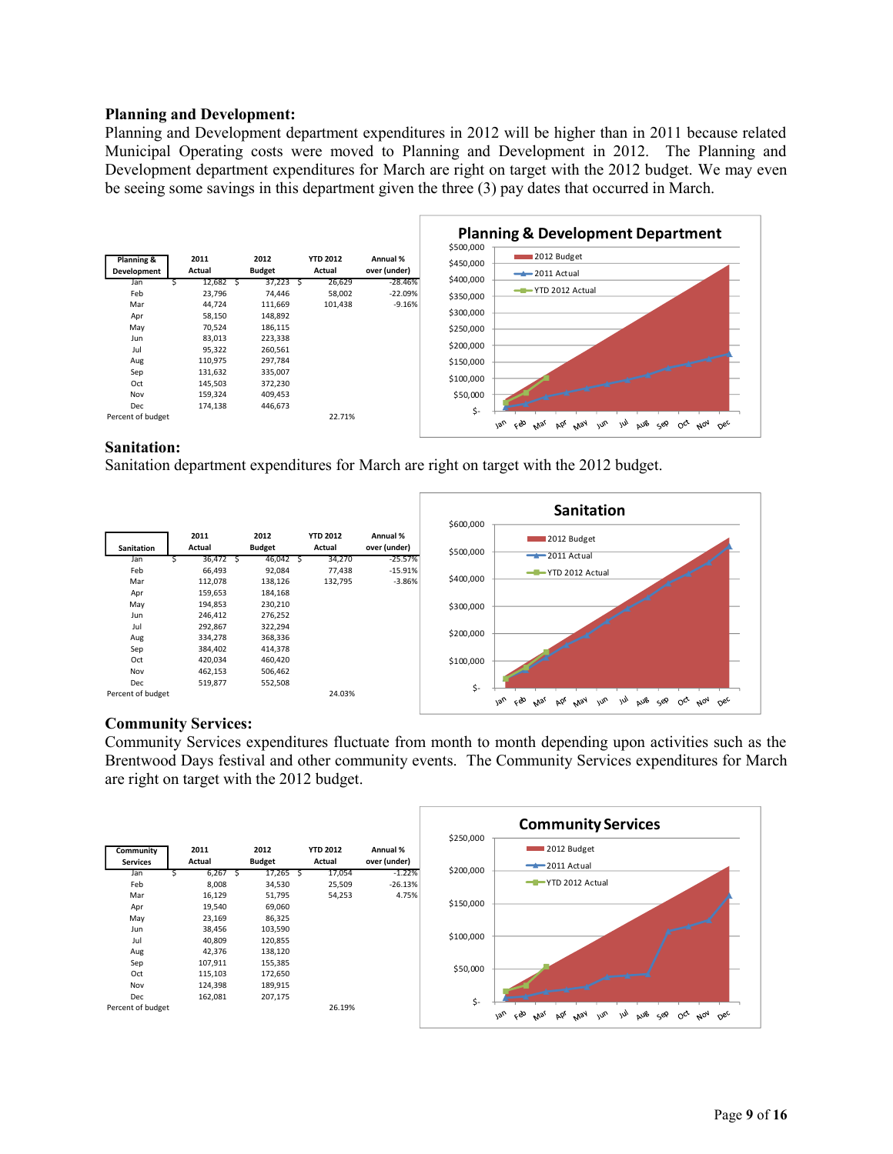### **Planning and Development:**

Planning and Development department expenditures in 2012 will be higher than in 2011 because related Municipal Operating costs were moved to Planning and Development in 2012. The Planning and Development department expenditures for March are right on target with the 2012 budget. We may even be seeing some savings in this department given the three (3) pay dates that occurred in March.



#### **Sanitation:**

Sanitation department expenditures for March are right on target with the 2012 budget.

|                   |         |    |               |   |                 |              | \$600,000 | <b>Sanitation</b>                                                                                                              |
|-------------------|---------|----|---------------|---|-----------------|--------------|-----------|--------------------------------------------------------------------------------------------------------------------------------|
|                   | 2011    |    | 2012          |   | <b>YTD 2012</b> | Annual %     |           | 2012 Budget                                                                                                                    |
| Sanitation        | Actual  |    | <b>Budget</b> |   | Actual          | over (under) | \$500,000 |                                                                                                                                |
| Jan               | 36,472  | -5 | 46,042        | 5 | 34,270          | $-25.57%$    |           | $-2011$ Actual                                                                                                                 |
| Feb               | 66,493  |    | 92,084        |   | 77,438          | $-15.91%$    |           | -T-YTD 2012 Actual                                                                                                             |
| Mar               | 112,078 |    | 138,126       |   | 132,795         | $-3.86%$     | \$400,000 |                                                                                                                                |
| Apr               | 159,653 |    | 184,168       |   |                 |              |           |                                                                                                                                |
| May               | 194,853 |    | 230,210       |   |                 |              | \$300,000 |                                                                                                                                |
| Jun               | 246,412 |    | 276,252       |   |                 |              |           |                                                                                                                                |
| Jul               | 292,867 |    | 322,294       |   |                 |              | \$200,000 |                                                                                                                                |
| Aug               | 334,278 |    | 368,336       |   |                 |              |           |                                                                                                                                |
| Sep               | 384,402 |    | 414,378       |   |                 |              |           |                                                                                                                                |
| Oct               | 420,034 |    | 460,420       |   |                 |              | \$100,000 |                                                                                                                                |
| Nov               | 462,153 |    | 506,462       |   |                 |              |           |                                                                                                                                |
| Dec               | 519,877 |    | 552,508       |   |                 |              | \$-       |                                                                                                                                |
| Percent of budget |         |    |               |   | 24.03%          |              |           | <b>Van</b><br>ςÒ<br>w<br><b>AUB</b><br>$w^{\prime}$<br>$\mu_{0q}$<br>Þά<br>May<br>$O_{6c}$<br>Sep<br>$O_{C_{r}}$<br><b>Mar</b> |

### **Community Services:**

Community Services expenditures fluctuate from month to month depending upon activities such as the Brentwood Days festival and other community events. The Community Services expenditures for March are right on target with the 2012 budget.

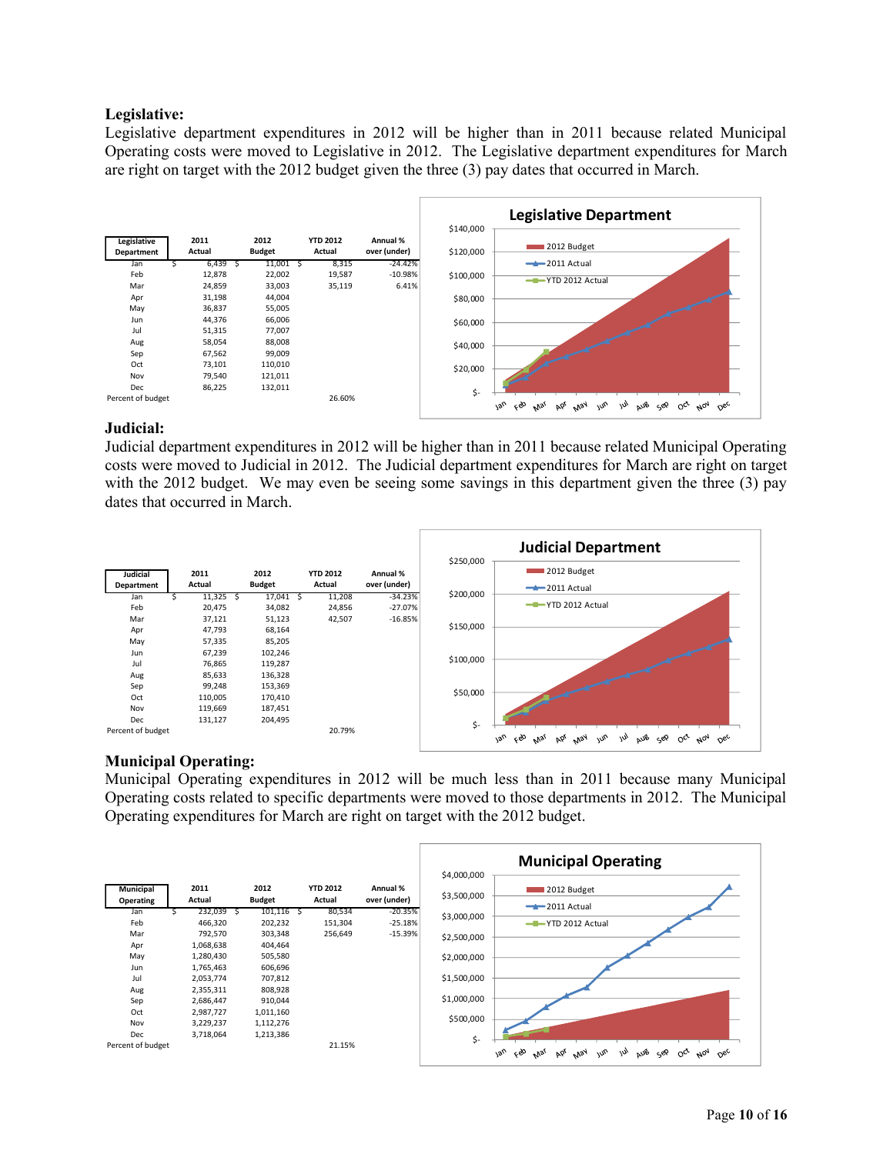### **Legislative:**

Legislative department expenditures in 2012 will be higher than in 2011 because related Municipal Operating costs were moved to Legislative in 2012. The Legislative department expenditures for March are right on target with the 2012 budget given the three (3) pay dates that occurred in March.



#### **Judicial:**

Judicial department expenditures in 2012 will be higher than in 2011 because related Municipal Operating costs were moved to Judicial in 2012. The Judicial department expenditures for March are right on target with the 2012 budget. We may even be seeing some savings in this department given the three (3) pay dates that occurred in March.



### **Municipal Operating:**

Municipal Operating expenditures in 2012 will be much less than in 2011 because many Municipal Operating costs related to specific departments were moved to those departments in 2012. The Municipal Operating expenditures for March are right on target with the 2012 budget.

|                   |           |               |                 |              |             | <b>Municipal Operating</b>                                                                              |
|-------------------|-----------|---------------|-----------------|--------------|-------------|---------------------------------------------------------------------------------------------------------|
|                   |           |               |                 |              | \$4,000,000 |                                                                                                         |
| <b>Municipal</b>  | 2011      | 2012          | <b>YTD 2012</b> | Annual %     |             | 2012 Budget                                                                                             |
| Operating         | Actual    | <b>Budget</b> | Actual          | over (under) | \$3,500,000 | $-2011$ Actual                                                                                          |
| Jan               | 232,039   | 101,116       | 80,534          | $-20.35%$    | \$3,000,000 |                                                                                                         |
| Feb               | 466,320   | 202,232       | 151,304         | $-25.18%$    |             | -T-YTD 2012 Actual                                                                                      |
| Mar               | 792,570   | 303,348       | 256,649         | $-15.39%$    | \$2,500,000 |                                                                                                         |
| Apr               | 1,068,638 | 404,464       |                 |              |             |                                                                                                         |
| May               | 1,280,430 | 505,580       |                 |              | \$2,000,000 |                                                                                                         |
| Jun               | 1,765,463 | 606,696       |                 |              |             |                                                                                                         |
| Jul               | 2,053,774 | 707,812       |                 |              | \$1,500,000 |                                                                                                         |
| Aug               | 2,355,311 | 808,928       |                 |              |             |                                                                                                         |
| Sep               | 2,686,447 | 910,044       |                 |              | \$1,000,000 |                                                                                                         |
| Oct               | 2,987,727 | 1,011,160     |                 |              |             |                                                                                                         |
| Nov               | 3,229,237 | 1,112,276     |                 |              | \$500,000   |                                                                                                         |
| Dec               | 3,718,064 | 1,213,386     |                 |              |             |                                                                                                         |
| Percent of budget |           |               | 21.15%          |              | \$-         | w<br>ςÒ<br>w <sub>o</sub><br>AUB<br>1an<br>Oct Not Dec<br><b>May</b><br>Sep<br>AP<br>$v_{V_{S_{\ell}}}$ |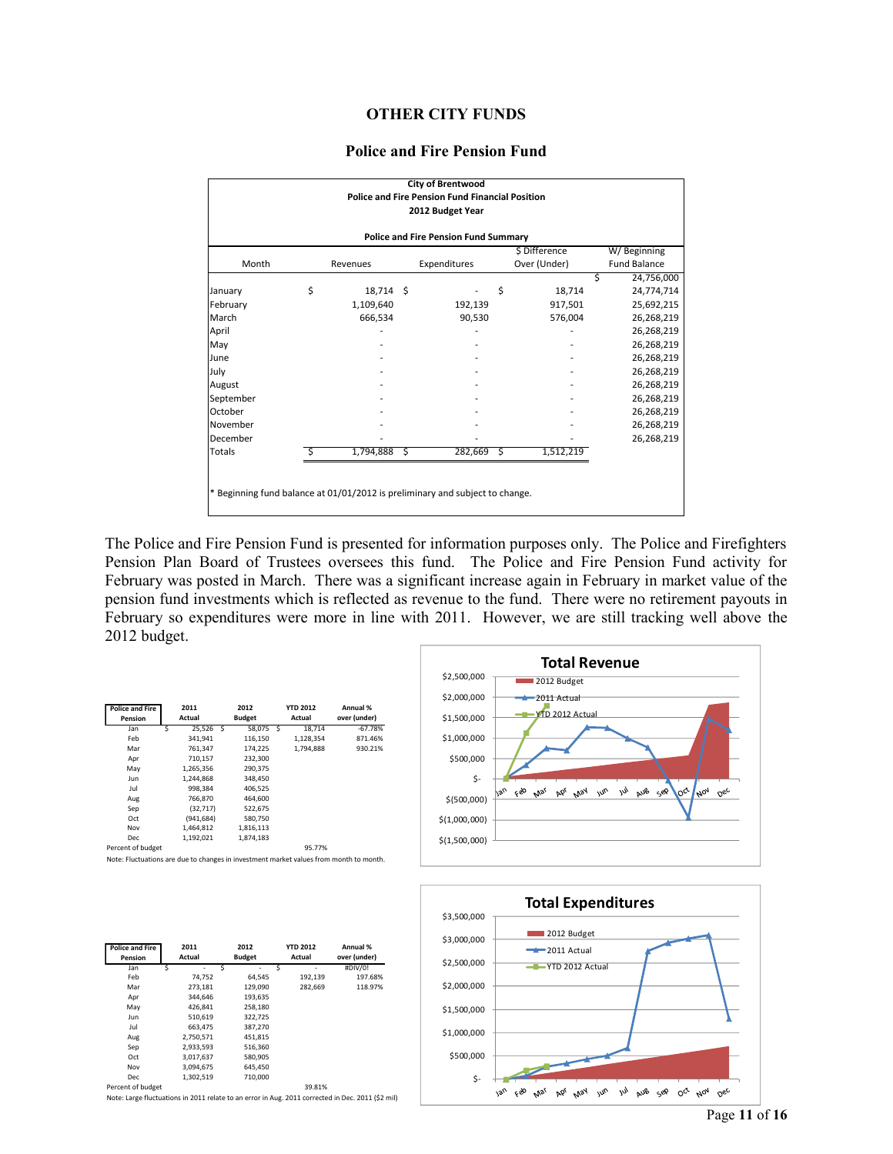### **OTHER CITY FUNDS**

#### **Police and Fire Pension Fund**

|                                                                              |    |                |  | <b>City of Brentwood</b>                               |    |              |                     |            |  |  |  |
|------------------------------------------------------------------------------|----|----------------|--|--------------------------------------------------------|----|--------------|---------------------|------------|--|--|--|
|                                                                              |    |                |  | <b>Police and Fire Pension Fund Financial Position</b> |    |              |                     |            |  |  |  |
|                                                                              |    |                |  | 2012 Budget Year                                       |    |              |                     |            |  |  |  |
|                                                                              |    |                |  |                                                        |    |              |                     |            |  |  |  |
| <b>Police and Fire Pension Fund Summary</b>                                  |    |                |  |                                                        |    |              |                     |            |  |  |  |
| \$ Difference<br>W/Beginning                                                 |    |                |  |                                                        |    |              |                     |            |  |  |  |
| Month                                                                        |    | Revenues       |  | Expenditures                                           |    | Over (Under) | <b>Fund Balance</b> |            |  |  |  |
|                                                                              |    |                |  |                                                        |    |              |                     | 24,756,000 |  |  |  |
| January                                                                      | \$ | 18,714 \$      |  |                                                        | \$ | 18,714       |                     | 24,774,714 |  |  |  |
| February                                                                     |    | 1,109,640      |  | 192,139                                                |    | 917,501      |                     | 25,692,215 |  |  |  |
| March                                                                        |    | 666,534        |  | 90,530                                                 |    | 576,004      |                     | 26,268,219 |  |  |  |
| April                                                                        |    |                |  |                                                        |    |              |                     | 26,268,219 |  |  |  |
| May                                                                          |    |                |  |                                                        |    |              |                     | 26,268,219 |  |  |  |
| June                                                                         |    |                |  |                                                        |    |              |                     | 26,268,219 |  |  |  |
| July                                                                         |    |                |  |                                                        |    |              |                     | 26,268,219 |  |  |  |
| August                                                                       |    |                |  |                                                        |    |              |                     | 26,268,219 |  |  |  |
| September                                                                    |    |                |  |                                                        |    |              |                     | 26,268,219 |  |  |  |
| October                                                                      |    |                |  |                                                        |    |              |                     | 26,268,219 |  |  |  |
| November                                                                     |    |                |  |                                                        |    |              |                     | 26,268,219 |  |  |  |
| December                                                                     |    |                |  |                                                        |    |              |                     | 26,268,219 |  |  |  |
| Totals                                                                       |    | $1,794,888$ \$ |  | 282,669                                                | ્ડ | 1,512,219    |                     |            |  |  |  |
|                                                                              |    |                |  |                                                        |    |              |                     |            |  |  |  |
|                                                                              |    |                |  |                                                        |    |              |                     |            |  |  |  |
| * Beginning fund balance at 01/01/2012 is preliminary and subject to change. |    |                |  |                                                        |    |              |                     |            |  |  |  |
|                                                                              |    |                |  |                                                        |    |              |                     |            |  |  |  |

The Police and Fire Pension Fund is presented for information purposes only. The Police and Firefighters Pension Plan Board of Trustees oversees this fund. The Police and Fire Pension Fund activity for February was posted in March. There was a significant increase again in February in market value of the pension fund investments which is reflected as revenue to the fund. There were no retirement payouts in February so expenditures were more in line with 2011. However, we are still tracking well above the 2012 budget.

| <b>Police and Fire</b><br>Pension | 2011<br>Actual |            |  | 2012<br><b>Budget</b> | <b>YTD 2012</b><br>Actual | Annual %<br>over (under) |
|-----------------------------------|----------------|------------|--|-----------------------|---------------------------|--------------------------|
| Jan                               | S              | 25.526 S   |  | 58.075 S              | 18.714                    | $-67.78%$                |
| Feb                               |                | 341.941    |  | 116.150               | 1.128.354                 | 871.46%                  |
| Mar                               |                | 761,347    |  | 174,225               | 1.794.888                 | 930.21%                  |
| Apr                               |                | 710.157    |  | 232.300               |                           |                          |
| May                               |                | 1,265,356  |  | 290,375               |                           |                          |
| Jun.                              |                | 1.244.868  |  | 348.450               |                           |                          |
| Jul                               |                | 998.384    |  | 406.525               |                           |                          |
| Aug                               |                | 766,870    |  | 464.600               |                           |                          |
| Sep                               |                | (32, 717)  |  | 522,675               |                           |                          |
| Oct                               |                | (941, 684) |  | 580,750               |                           |                          |
| Nov                               |                | 1,464,812  |  | 1,816,113             |                           |                          |
| Dec                               |                | 1,192,021  |  | 1,874,183             |                           |                          |
| Percent of budget                 |                |            |  |                       | 95 77%                    |                          |

**Total Revenue** \$2,500,000 2012 Budget 2011 Actual \$2,000,000  $\overline{1}$ D 2012 Actu \$1,500,000 \$1,000,000 \$500,000  $\mathsf{S}$  $PQ^{\prime}$   $NQ^{\prime}$  $\omega^{\alpha}$  $\ell_{\nu\mu}$ NOV Feb Mar .vs .<br>Os nec \$(500,000) \$(1,000,000) \$(1,500,000)



| <b>Police and Fire</b><br>Pension | 2011<br>Actual | 2012<br><b>Budget</b> | YTD 2012<br>Actual | Annual %<br>over (under) |
|-----------------------------------|----------------|-----------------------|--------------------|--------------------------|
| Jan                               | 25,526 S       | 58.075                | 18.714<br>-S       | $-67.78%$                |
| Feb                               | 341,941        | 116,150               | 1,128,354          | 871.46%                  |
| Mar                               | 761,347        | 174,225               | 1.794.888          | 930.21%                  |
| Apr                               | 710,157        | 232,300               |                    |                          |
| May                               | 1,265,356      | 290,375               |                    |                          |
| Jun                               | 1,244,868      | 348,450               |                    |                          |
| Jul                               | 998,384        | 406.525               |                    |                          |
| Aug                               | 766.870        | 464.600               |                    |                          |
| Sep                               | (32, 717)      | 522,675               |                    |                          |
| Oct                               | (941, 684)     | 580,750               |                    |                          |
| Nov                               | 1.464.812      | 1,816,113             |                    |                          |
| Dec                               | 1.192.021      | 1.874.183             |                    |                          |
| Percent of budget                 |                |                       | 95.77%             |                          |

Note: Fluctuations are due to changes in investment market values from month to month.

| <b>Police and Fire</b><br>Pension | 2011<br>Actual | 2012<br><b>Budget</b> | <b>YTD 2012</b><br>Actual | Annual %<br>over (under) |
|-----------------------------------|----------------|-----------------------|---------------------------|--------------------------|
| Jan                               | Ś<br>Ś<br>٠    | ۰                     | Ś<br>۰                    | #DIV/0!                  |
| Feb                               | 74.752         | 64.545                | 192,139                   | 197.68%                  |
| Mar                               | 273.181        | 129,090               | 282.669                   | 118.97%                  |
| Apr                               | 344.646        | 193,635               |                           |                          |
| May                               | 426,841        | 258,180               |                           |                          |
| Jun                               | 510,619        | 322.725               |                           |                          |
| Jul                               | 663.475        | 387.270               |                           |                          |
| Aug                               | 2,750,571      | 451.815               |                           |                          |
| Sep                               | 2,933,593      | 516,360               |                           |                          |
| Oct                               | 3,017,637      | 580.905               |                           |                          |
| Nov                               | 3.094.675      | 645.450               |                           |                          |
| Dec                               | 1,302,519      | 710,000               |                           |                          |
| Percent of budget                 |                |                       | 39.81%                    |                          |

Note: Large fluctuations in 2011 relate to an error in Aug. 2011 corrected in Dec. 2011 (\$2 mil)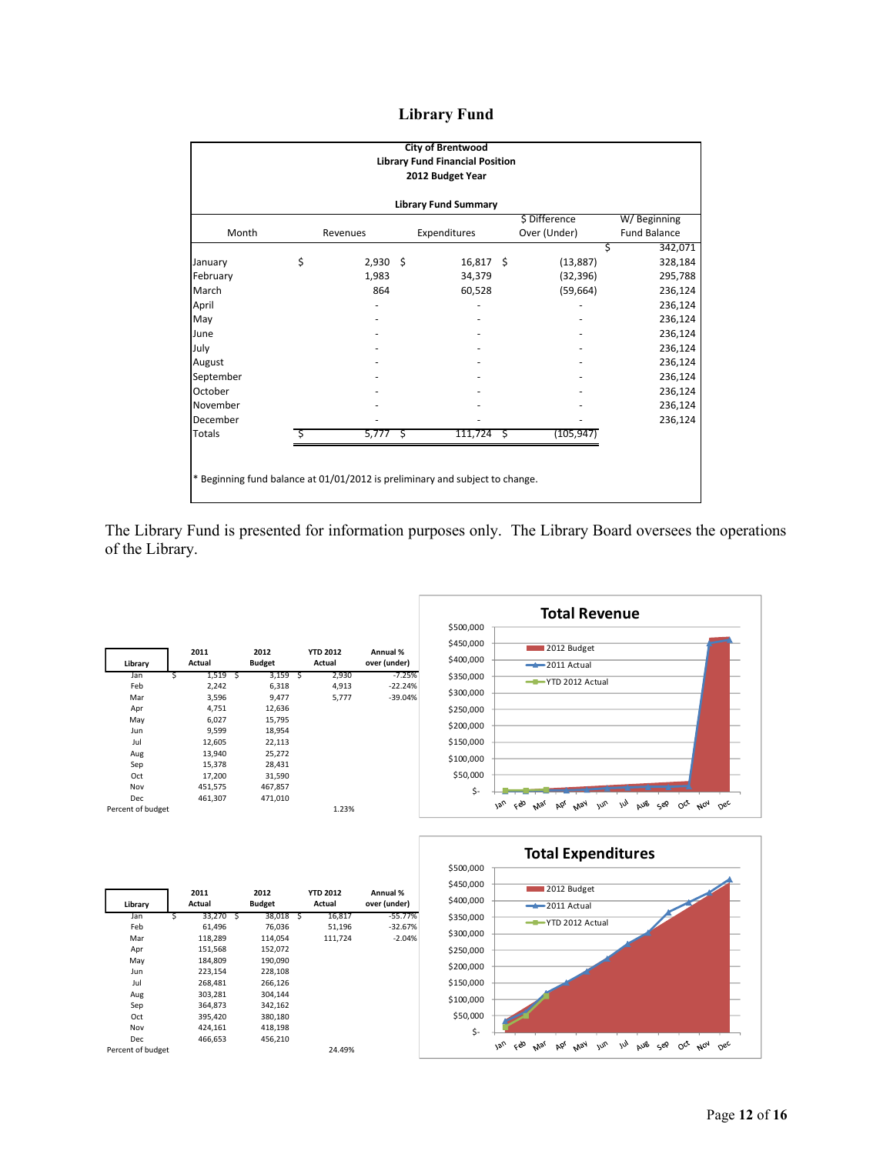# **Library Fund**

| <b>City of Brentwood</b><br><b>Library Fund Financial Position</b><br>2012 Budget Year |    |            |  |              |  |               |                     |  |  |  |
|----------------------------------------------------------------------------------------|----|------------|--|--------------|--|---------------|---------------------|--|--|--|
| <b>Library Fund Summary</b>                                                            |    |            |  |              |  |               |                     |  |  |  |
|                                                                                        |    |            |  |              |  | \$ Difference | W/Beginning         |  |  |  |
| Month                                                                                  |    | Revenues   |  | Expenditures |  | Over (Under)  | <b>Fund Balance</b> |  |  |  |
|                                                                                        |    |            |  |              |  | Ś             | 342,071             |  |  |  |
| January                                                                                | \$ | $2,930$ \$ |  | $16,817$ \$  |  | (13, 887)     | 328,184             |  |  |  |
| February                                                                               |    | 1,983      |  | 34,379       |  | (32, 396)     | 295,788             |  |  |  |
| March                                                                                  |    | 864        |  | 60,528       |  | (59, 664)     | 236,124             |  |  |  |
| April                                                                                  |    |            |  |              |  |               | 236,124             |  |  |  |
| May                                                                                    |    |            |  |              |  |               | 236,124             |  |  |  |
| June                                                                                   |    |            |  |              |  |               | 236,124             |  |  |  |
| July                                                                                   |    |            |  |              |  |               | 236,124             |  |  |  |
| August                                                                                 |    |            |  |              |  |               | 236,124             |  |  |  |
| September                                                                              |    |            |  |              |  |               | 236,124             |  |  |  |
| October                                                                                |    |            |  |              |  |               | 236,124             |  |  |  |
| November                                                                               |    |            |  |              |  |               | 236,124             |  |  |  |
| December                                                                               |    |            |  |              |  |               | 236,124             |  |  |  |
| <b>Totals</b>                                                                          | S. | $5,777$ \$ |  | $111,724$ \$ |  | (105, 947)    |                     |  |  |  |
| * Beginning fund balance at 01/01/2012 is preliminary and subject to change.           |    |            |  |              |  |               |                     |  |  |  |

The Library Fund is presented for information purposes only. The Library Board oversees the operations of the Library.





| Library           | 2011<br>Actual |         |   | 2012<br><b>Budget</b> |     | <b>YTD 2012</b><br>Actual | Annual %<br>over (under) |
|-------------------|----------------|---------|---|-----------------------|-----|---------------------------|--------------------------|
| Jan               | Ś              | 1,519   | Ŝ | 3,159                 | - S | 2,930                     | $-7.25%$                 |
| Feb               |                | 2,242   |   | 6,318                 |     | 4,913                     | $-22.24%$                |
| Mar               |                | 3,596   |   | 9,477                 |     | 5,777                     | $-39.04%$                |
| Apr               |                | 4,751   |   | 12,636                |     |                           |                          |
| May               |                | 6.027   |   | 15.795                |     |                           |                          |
| Jun               |                | 9,599   |   | 18,954                |     |                           |                          |
| Jul               |                | 12,605  |   | 22,113                |     |                           |                          |
| Aug               |                | 13,940  |   | 25,272                |     |                           |                          |
| Sep               |                | 15,378  |   | 28,431                |     |                           |                          |
| Oct               |                | 17,200  |   | 31,590                |     |                           |                          |
| Nov               |                | 451,575 |   | 467,857               |     |                           |                          |
| Dec               |                | 461,307 |   | 471,010               |     |                           |                          |
| Percent of budget |                |         |   |                       |     | 1.23%                     |                          |

| Library           | 2011<br>Actual |         | 2012<br><b>Budget</b> |         |     | <b>YTD 2012</b><br>Actual | Annual %<br>over (under) |
|-------------------|----------------|---------|-----------------------|---------|-----|---------------------------|--------------------------|
| Jan               | Š              | 33,270  | ΞŚ.                   | 38,018  | - S | 16,817                    | $-55.77%$                |
| Feb               |                | 61,496  |                       | 76,036  |     | 51,196                    | $-32.67%$                |
| Mar               |                | 118,289 |                       | 114.054 |     | 111.724                   | $-2.04%$                 |
| Apr               |                | 151,568 |                       | 152,072 |     |                           |                          |
| May               |                | 184,809 |                       | 190,090 |     |                           |                          |
| Jun               |                | 223,154 |                       | 228.108 |     |                           |                          |
| Jul               |                | 268,481 |                       | 266,126 |     |                           |                          |
| Aug               |                | 303,281 |                       | 304,144 |     |                           |                          |
| Sep               |                | 364,873 |                       | 342,162 |     |                           |                          |
| Oct               |                | 395,420 |                       | 380,180 |     |                           |                          |
| Nov               |                | 424,161 |                       | 418,198 |     |                           |                          |
| Dec               |                | 466,653 |                       | 456.210 |     |                           |                          |
| Percent of budget |                |         |                       |         |     | 24.49%                    |                          |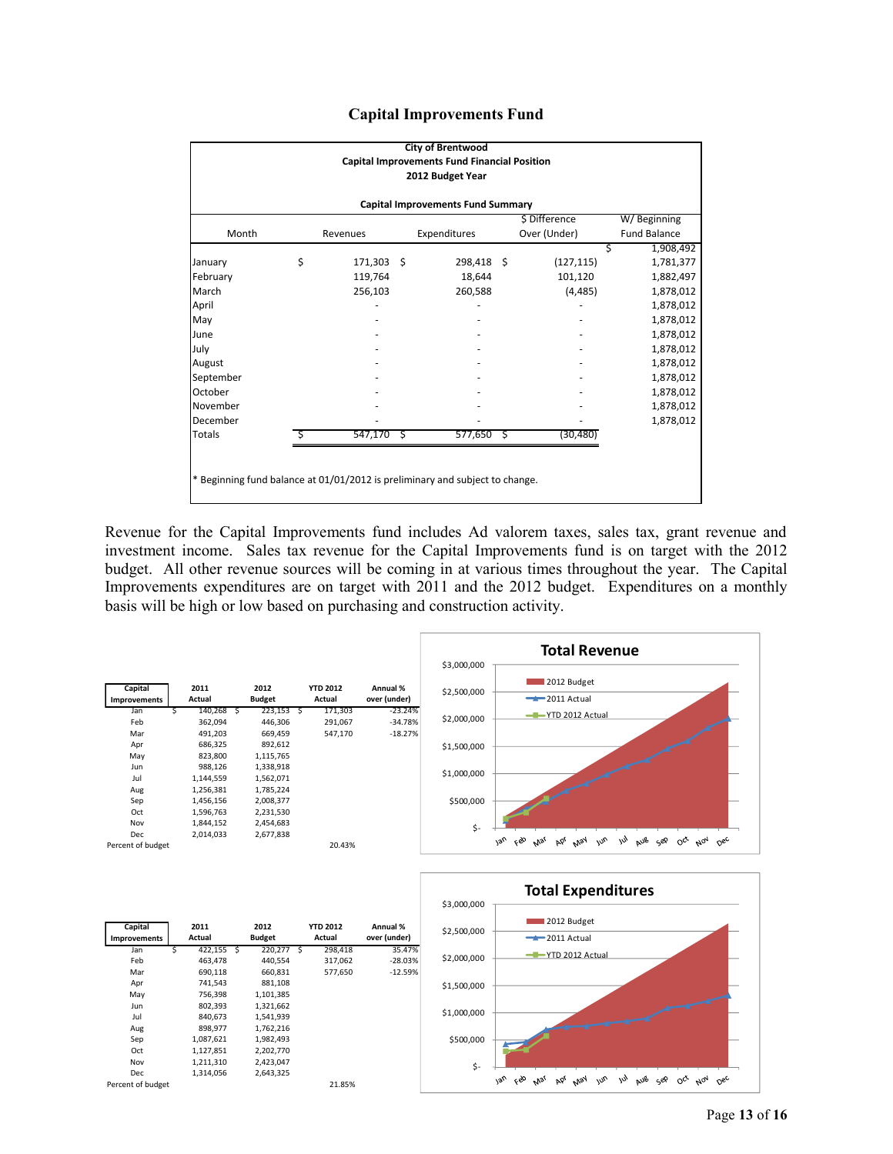|  | <b>Capital Improvements Fund</b> |  |
|--|----------------------------------|--|
|--|----------------------------------|--|

| <b>City of Brentwood</b><br><b>Capital Improvements Fund Financial Position</b><br>2012 Budget Year      |    |              |  |            |  |            |                |  |  |  |
|----------------------------------------------------------------------------------------------------------|----|--------------|--|------------|--|------------|----------------|--|--|--|
| <b>Capital Improvements Fund Summary</b>                                                                 |    |              |  |            |  |            |                |  |  |  |
| \$ Difference<br>W/Beginning<br>Month<br>Over (Under)<br><b>Fund Balance</b><br>Expenditures<br>Revenues |    |              |  |            |  |            |                |  |  |  |
|                                                                                                          |    |              |  |            |  |            | 1,908,492<br>Ś |  |  |  |
| January                                                                                                  | \$ | 171,303 \$   |  | 298,418 \$ |  | (127, 115) | 1,781,377      |  |  |  |
| February                                                                                                 |    | 119,764      |  | 18,644     |  | 101,120    | 1,882,497      |  |  |  |
| March                                                                                                    |    | 256,103      |  | 260,588    |  | (4, 485)   | 1,878,012      |  |  |  |
| April                                                                                                    |    |              |  |            |  |            | 1,878,012      |  |  |  |
| May                                                                                                      |    |              |  |            |  |            | 1,878,012      |  |  |  |
| June                                                                                                     |    |              |  |            |  |            | 1,878,012      |  |  |  |
| July                                                                                                     |    |              |  |            |  |            | 1,878,012      |  |  |  |
| August                                                                                                   |    |              |  |            |  |            | 1,878,012      |  |  |  |
| September                                                                                                |    |              |  |            |  |            | 1,878,012      |  |  |  |
| October                                                                                                  |    |              |  |            |  |            | 1,878,012      |  |  |  |
| November                                                                                                 |    |              |  |            |  |            | 1,878,012      |  |  |  |
| December                                                                                                 |    |              |  |            |  |            | 1,878,012      |  |  |  |
| <b>Totals</b>                                                                                            | Ŝ  | $547,170$ \$ |  |            |  | (30, 480)  |                |  |  |  |
| $577,650$ \$<br>* Beginning fund balance at 01/01/2012 is preliminary and subject to change.             |    |              |  |            |  |            |                |  |  |  |

Revenue for the Capital Improvements fund includes Ad valorem taxes, sales tax, grant revenue and investment income. Sales tax revenue for the Capital Improvements fund is on target with the 2012 budget. All other revenue sources will be coming in at various times throughout the year. The Capital Improvements expenditures are on target with 2011 and the 2012 budget. Expenditures on a monthly basis will be high or low based on purchasing and construction activity.



| Capital<br><b>Improvements</b> |   | 2011<br>Actual | 2012<br><b>Budget</b> | <b>YTD 2012</b><br>Actual | Annual %<br>over (under) |
|--------------------------------|---|----------------|-----------------------|---------------------------|--------------------------|
| Jan                            | S | 422,155 \$     | 220,277               | 298,418                   | 35.47%                   |
| Feb                            |   | 463,478        | 440,554               | 317,062                   | $-28.03%$                |
| Mar                            |   | 690.118        | 660.831               | 577.650                   | $-12.59%$                |
| Apr                            |   | 741.543        | 881.108               |                           |                          |
| May                            |   | 756,398        | 1,101,385             |                           |                          |
| Jun                            |   | 802,393        | 1,321,662             |                           |                          |
| Jul                            |   | 840.673        | 1,541,939             |                           |                          |
| Aug                            |   | 898,977        | 1,762,216             |                           |                          |
| Sep                            |   | 1,087,621      | 1,982,493             |                           |                          |
| Oct                            |   | 1,127,851      | 2,202,770             |                           |                          |
| Nov                            |   | 1,211,310      | 2,423,047             |                           |                          |
| Dec                            |   | 1.314.056      | 2.643.325             |                           |                          |
| Percent of budget              |   |                |                       | 21.85%                    |                          |

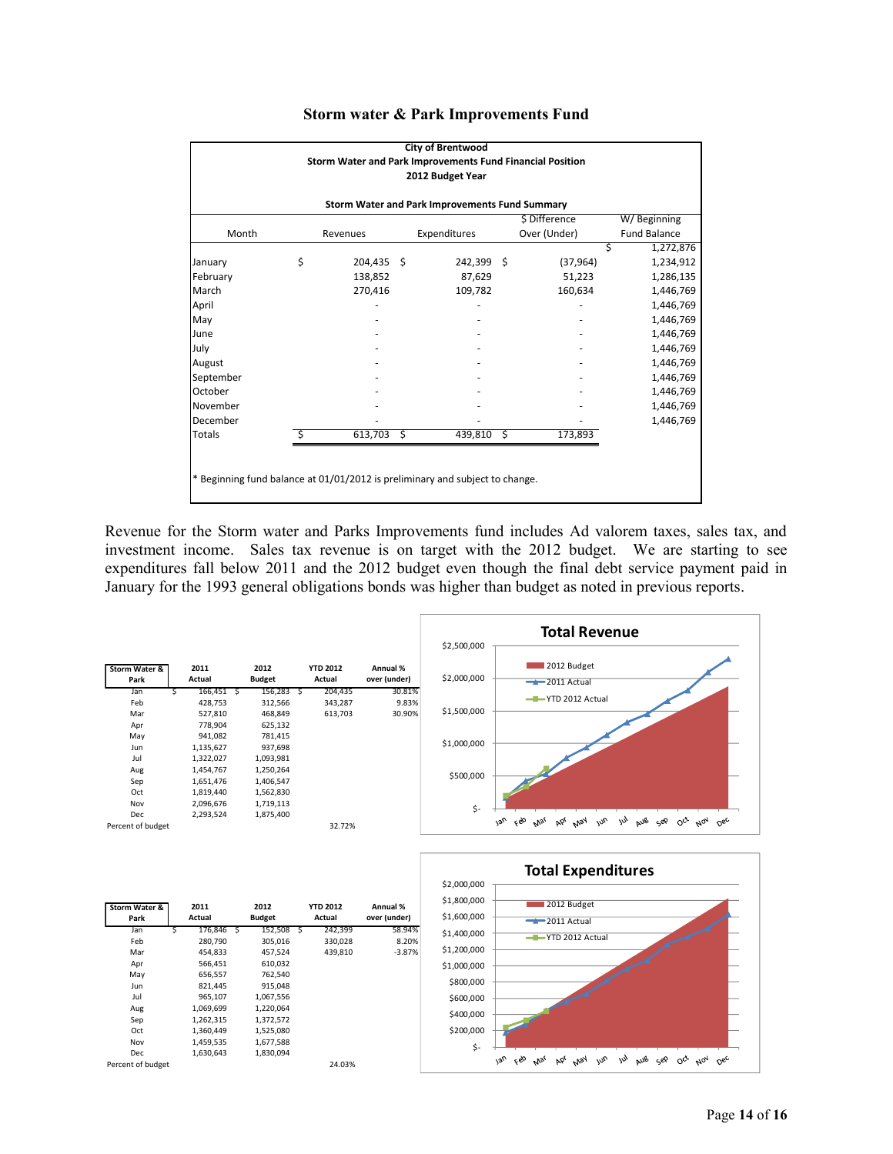| <b>City of Brentwood</b><br>Storm Water and Park Improvements Fund Financial Position                    |    |              |  |            |  |           |                |  |  |  |  |
|----------------------------------------------------------------------------------------------------------|----|--------------|--|------------|--|-----------|----------------|--|--|--|--|
| 2012 Budget Year                                                                                         |    |              |  |            |  |           |                |  |  |  |  |
| Storm Water and Park Improvements Fund Summary                                                           |    |              |  |            |  |           |                |  |  |  |  |
| \$ Difference<br>W/Beginning<br>Month<br>Over (Under)<br>Expenditures<br><b>Fund Balance</b><br>Revenues |    |              |  |            |  |           |                |  |  |  |  |
|                                                                                                          |    |              |  |            |  |           | Ś<br>1,272,876 |  |  |  |  |
| January                                                                                                  | \$ | $204,435$ \$ |  | 242,399 \$ |  | (37, 964) | 1,234,912      |  |  |  |  |
| February                                                                                                 |    | 138,852      |  | 87,629     |  | 51,223    | 1,286,135      |  |  |  |  |
| March                                                                                                    |    | 270,416      |  | 109,782    |  | 160,634   | 1,446,769      |  |  |  |  |
| April                                                                                                    |    |              |  |            |  |           | 1,446,769      |  |  |  |  |
| May                                                                                                      |    |              |  |            |  |           | 1,446,769      |  |  |  |  |
| June                                                                                                     |    |              |  |            |  |           | 1,446,769      |  |  |  |  |
| July                                                                                                     |    |              |  |            |  |           | 1,446,769      |  |  |  |  |
| August                                                                                                   |    |              |  |            |  |           | 1,446,769      |  |  |  |  |
| September                                                                                                |    |              |  |            |  |           | 1,446,769      |  |  |  |  |
| October                                                                                                  |    |              |  |            |  |           | 1,446,769      |  |  |  |  |
| November                                                                                                 |    |              |  |            |  |           | 1,446,769      |  |  |  |  |
| December                                                                                                 |    |              |  |            |  |           | 1,446,769      |  |  |  |  |
| Totals                                                                                                   |    | $613,703$ \$ |  | 439,810 \$ |  | 173,893   |                |  |  |  |  |
|                                                                                                          |    |              |  |            |  |           |                |  |  |  |  |
|                                                                                                          |    |              |  |            |  |           |                |  |  |  |  |
| * Beginning fund balance at 01/01/2012 is preliminary and subject to change.                             |    |              |  |            |  |           |                |  |  |  |  |
|                                                                                                          |    |              |  |            |  |           |                |  |  |  |  |

#### **Storm water & Park Improvements Fund**

Revenue for the Storm water and Parks Improvements fund includes Ad valorem taxes, sales tax, and investment income. Sales tax revenue is on target with the 2012 budget. We are starting to see expenditures fall below 2011 and the 2012 budget even though the final debt service payment paid in January for the 1993 general obligations bonds was higher than budget as noted in previous reports.

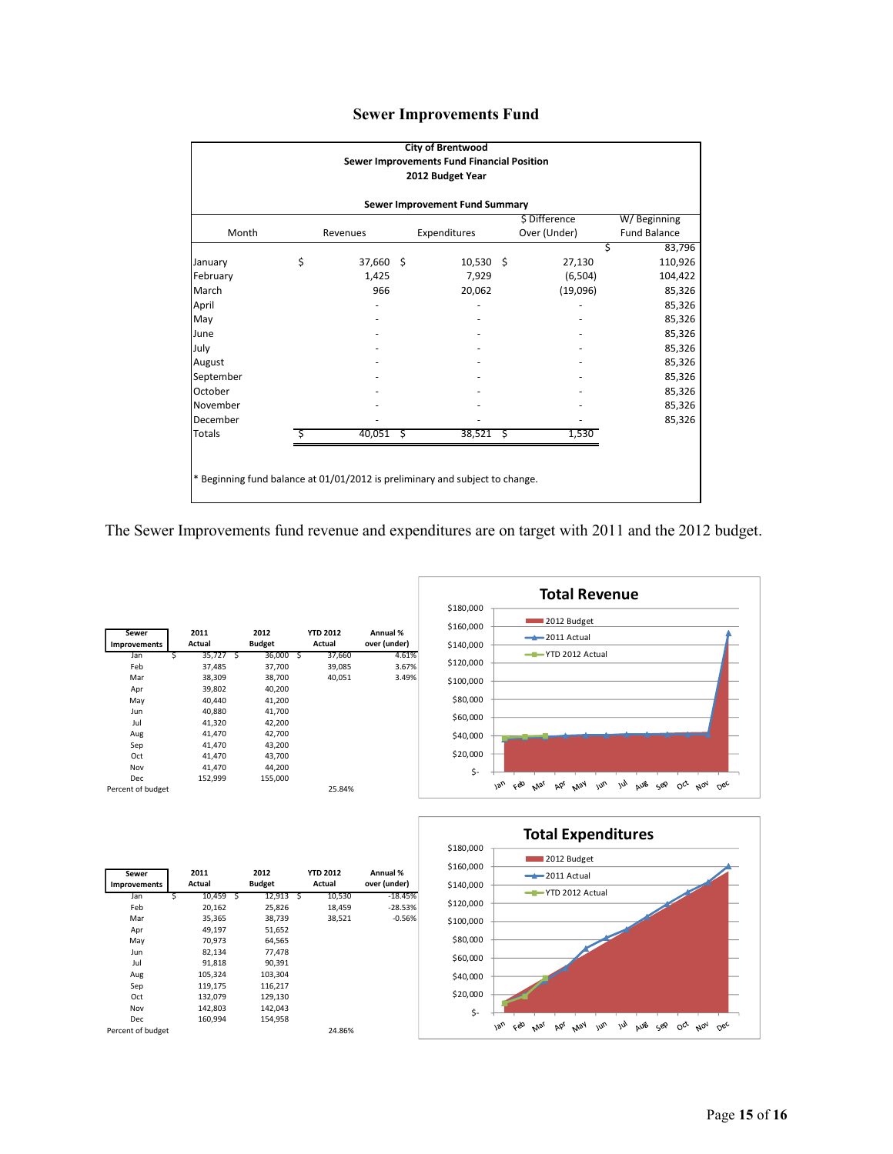# **Sewer Improvements Fund**

|                                                                              |    |             |  | <b>City of Brentwood</b><br>Sewer Improvements Fund Financial Position |                    |              |                     |  |  |  |
|------------------------------------------------------------------------------|----|-------------|--|------------------------------------------------------------------------|--------------------|--------------|---------------------|--|--|--|
| 2012 Budget Year                                                             |    |             |  |                                                                        |                    |              |                     |  |  |  |
| Sewer Improvement Fund Summary                                               |    |             |  |                                                                        |                    |              |                     |  |  |  |
| \$ Difference<br>W/Beginning                                                 |    |             |  |                                                                        |                    |              |                     |  |  |  |
| Month                                                                        |    | Revenues    |  | Expenditures                                                           |                    | Over (Under) | <b>Fund Balance</b> |  |  |  |
|                                                                              |    |             |  |                                                                        |                    | Ś            | 83,796              |  |  |  |
| January                                                                      | \$ | 37,660 \$   |  | $10,530$ \$                                                            |                    | 27,130       | 110,926             |  |  |  |
| February                                                                     |    | 1,425       |  | 7,929                                                                  |                    | (6, 504)     | 104,422             |  |  |  |
| March                                                                        |    | 966         |  | 20,062                                                                 |                    | (19,096)     | 85,326              |  |  |  |
| April                                                                        |    |             |  |                                                                        |                    |              | 85,326              |  |  |  |
| May                                                                          |    |             |  |                                                                        |                    |              | 85,326              |  |  |  |
| June                                                                         |    |             |  |                                                                        |                    |              | 85,326              |  |  |  |
| July                                                                         |    |             |  |                                                                        |                    |              | 85,326              |  |  |  |
| August                                                                       |    |             |  |                                                                        |                    |              | 85,326              |  |  |  |
| September                                                                    |    |             |  |                                                                        |                    |              | 85,326              |  |  |  |
| October                                                                      |    |             |  |                                                                        |                    |              | 85,326              |  |  |  |
| November                                                                     |    |             |  |                                                                        |                    |              | 85,326              |  |  |  |
| December                                                                     |    |             |  |                                                                        |                    |              | 85,326              |  |  |  |
| <b>Totals</b>                                                                | S  | $40,051$ \$ |  | 38,521                                                                 | $\ddot{\varsigma}$ | 1,530        |                     |  |  |  |
|                                                                              |    |             |  |                                                                        |                    |              |                     |  |  |  |
|                                                                              |    |             |  |                                                                        |                    |              |                     |  |  |  |
| * Beginning fund balance at 01/01/2012 is preliminary and subject to change. |    |             |  |                                                                        |                    |              |                     |  |  |  |
|                                                                              |    |             |  |                                                                        |                    |              |                     |  |  |  |

The Sewer Improvements fund revenue and expenditures are on target with 2011 and the 2012 budget.



| <b>Sewer</b>        |   | 2011     | 2012          | <b>YTD 2012</b> | Annual %     |
|---------------------|---|----------|---------------|-----------------|--------------|
| <b>Improvements</b> |   | Actual   | <b>Budget</b> | Actual          | over (under) |
| Jan                 | S | 35,727 S | 36,000 S      | 37,660          | 4.61%        |
| Feb                 |   | 37,485   | 37,700        | 39,085          | 3.67%        |
| Mar                 |   | 38,309   | 38,700        | 40,051          | 3.49%        |
| Apr                 |   | 39,802   | 40,200        |                 |              |
| May                 |   | 40,440   | 41,200        |                 |              |
| Jun                 |   | 40,880   | 41,700        |                 |              |
| Jul                 |   | 41,320   | 42,200        |                 |              |
| Aug                 |   | 41,470   | 42,700        |                 |              |
| Sep                 |   | 41,470   | 43.200        |                 |              |
| Oct                 |   | 41,470   | 43,700        |                 |              |
| Nov                 |   | 41,470   | 44,200        |                 |              |
| Dec                 |   | 152,999  | 155,000       |                 |              |
| Percent of budget   |   |          |               | 25.84%          |              |
|                     |   |          |               |                 |              |
|                     |   |          |               |                 |              |
|                     |   |          |               |                 |              |



| Sewer<br>Improvements | 2011<br>Actual |   | 2012<br><b>Budget</b> |     | <b>YTD 2012</b><br>Actual | Annual %<br>over (under) |
|-----------------------|----------------|---|-----------------------|-----|---------------------------|--------------------------|
| Jan                   | 10,459         | Ŝ | 12,913                | - S | 10,530                    | $-18.45%$                |
| Feb                   | 20,162         |   | 25,826                |     | 18,459                    | $-28.53%$                |
| Mar                   | 35,365         |   | 38,739                |     | 38,521                    | $-0.56%$                 |
| Apr                   | 49,197         |   | 51,652                |     |                           |                          |
| May                   | 70,973         |   | 64,565                |     |                           |                          |
| Jun                   | 82,134         |   | 77,478                |     |                           |                          |
| Jul                   | 91,818         |   | 90,391                |     |                           |                          |
| Aug                   | 105,324        |   | 103,304               |     |                           |                          |
| Sep                   | 119,175        |   | 116,217               |     |                           |                          |
| Oct                   | 132,079        |   | 129,130               |     |                           |                          |
| Nov                   | 142,803        |   | 142,043               |     |                           |                          |
| Dec                   | 160.994        |   | 154.958               |     |                           |                          |
| Percent of budget     |                |   |                       |     | 24.86%                    |                          |